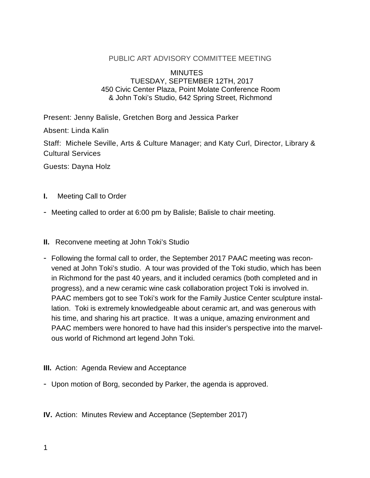#### PUBLIC ART ADVISORY COMMITTEE MEETING

#### **MINUTES** TUESDAY, SEPTEMBER 12TH, 2017 450 Civic Center Plaza, Point Molate Conference Room & John Toki's Studio, 642 Spring Street, Richmond

Present: Jenny Balisle, Gretchen Borg and Jessica Parker

Absent: Linda Kalin

Staff: Michele Seville, Arts & Culture Manager; and Katy Curl, Director, Library & Cultural Services

Guests: Dayna Holz

- **I.** Meeting Call to Order
- Meeting called to order at 6:00 pm by Balisle; Balisle to chair meeting.
- **II.** Reconvene meeting at John Toki's Studio
- Following the formal call to order, the September 2017 PAAC meeting was reconvened at John Toki's studio. A tour was provided of the Toki studio, which has been in Richmond for the past 40 years, and it included ceramics (both completed and in progress), and a new ceramic wine cask collaboration project Toki is involved in. PAAC members got to see Toki's work for the Family Justice Center sculpture installation. Toki is extremely knowledgeable about ceramic art, and was generous with his time, and sharing his art practice. It was a unique, amazing environment and PAAC members were honored to have had this insider's perspective into the marvelous world of Richmond art legend John Toki.
- **III.** Action: Agenda Review and Acceptance
- Upon motion of Borg, seconded by Parker, the agenda is approved.

**IV.** Action: Minutes Review and Acceptance (September 2017)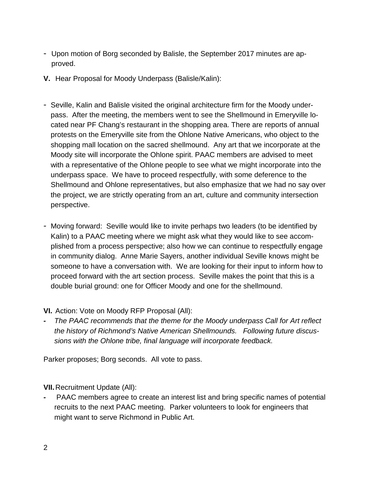- Upon motion of Borg seconded by Balisle, the September 2017 minutes are approved.
- **V.** Hear Proposal for Moody Underpass (Balisle/Kalin):
- Seville, Kalin and Balisle visited the original architecture firm for the Moody underpass. After the meeting, the members went to see the Shellmound in Emeryville located near PF Chang's restaurant in the shopping area. There are reports of annual protests on the Emeryville site from the Ohlone Native Americans, who object to the shopping mall location on the sacred shellmound. Any art that we incorporate at the Moody site will incorporate the Ohlone spirit. PAAC members are advised to meet with a representative of the Ohlone people to see what we might incorporate into the underpass space. We have to proceed respectfully, with some deference to the Shellmound and Ohlone representatives, but also emphasize that we had no say over the project, we are strictly operating from an art, culture and community intersection perspective.
- Moving forward: Seville would like to invite perhaps two leaders (to be identified by Kalin) to a PAAC meeting where we might ask what they would like to see accomplished from a process perspective; also how we can continue to respectfully engage in community dialog. Anne Marie Sayers, another individual Seville knows might be someone to have a conversation with. We are looking for their input to inform how to proceed forward with the art section process. Seville makes the point that this is a double burial ground: one for Officer Moody and one for the shellmound.
- **VI.** Action: Vote on Moody RFP Proposal (All):
- *- The PAAC recommends that the theme for the Moody underpass Call for Art reflect the history of Richmond's Native American Shellmounds. Following future discussions with the Ohlone tribe, final language will incorporate feedback.*

Parker proposes; Borg seconds. All vote to pass.

**VII.**Recruitment Update (All):

*-* PAAC members agree to create an interest list and bring specific names of potential recruits to the next PAAC meeting. Parker volunteers to look for engineers that might want to serve Richmond in Public Art.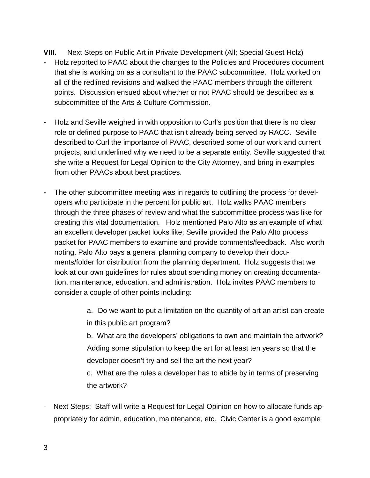**VIII.** Next Steps on Public Art in Private Development (All; Special Guest Holz)

- *-* Holz reported to PAAC about the changes to the Policies and Procedures document that she is working on as a consultant to the PAAC subcommittee. Holz worked on all of the redlined revisions and walked the PAAC members through the different points. Discussion ensued about whether or not PAAC should be described as a subcommittee of the Arts & Culture Commission.
- *-* Holz and Seville weighed in with opposition to Curl's position that there is no clear role or defined purpose to PAAC that isn't already being served by RACC. Seville described to Curl the importance of PAAC, described some of our work and current projects, and underlined why we need to be a separate entity. Seville suggested that she write a Request for Legal Opinion to the City Attorney, and bring in examples from other PAACs about best practices.
- *-* The other subcommittee meeting was in regards to outlining the process for developers who participate in the percent for public art. Holz walks PAAC members through the three phases of review and what the subcommittee process was like for creating this vital documentation. Holz mentioned Palo Alto as an example of what an excellent developer packet looks like; Seville provided the Palo Alto process packet for PAAC members to examine and provide comments/feedback. Also worth noting, Palo Alto pays a general planning company to develop their documents/folder for distribution from the planning department. Holz suggests that we look at our own guidelines for rules about spending money on creating documentation, maintenance, education, and administration. Holz invites PAAC members to consider a couple of other points including:

a. Do we want to put a limitation on the quantity of art an artist can create in this public art program?

b. What are the developers' obligations to own and maintain the artwork? Adding some stipulation to keep the art for at least ten years so that the developer doesn't try and sell the art the next year?

c. What are the rules a developer has to abide by in terms of preserving the artwork?

Next Steps: Staff will write a Request for Legal Opinion on how to allocate funds appropriately for admin, education, maintenance, etc. Civic Center is a good example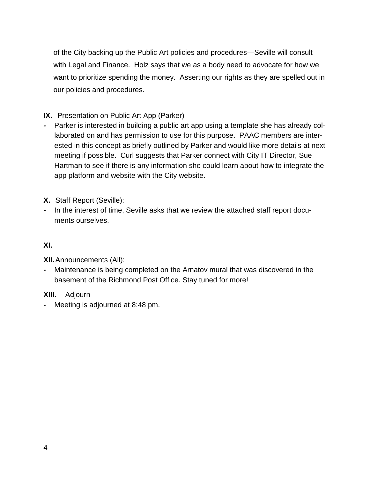of the City backing up the Public Art policies and procedures—Seville will consult with Legal and Finance. Holz says that we as a body need to advocate for how we want to prioritize spending the money. Asserting our rights as they are spelled out in our policies and procedures.

# **IX.** Presentation on Public Art App (Parker)

- *-* Parker is interested in building a public art app using a template she has already collaborated on and has permission to use for this purpose. PAAC members are interested in this concept as briefly outlined by Parker and would like more details at next meeting if possible. Curl suggests that Parker connect with City IT Director, Sue Hartman to see if there is any information she could learn about how to integrate the app platform and website with the City website.
- **X.** Staff Report (Seville):
- *-* In the interest of time, Seville asks that we review the attached staff report documents ourselves.

## **XI.**

**XII.**Announcements (All):

*-* Maintenance is being completed on the Arnatov mural that was discovered in the basement of the Richmond Post Office. Stay tuned for more!

### **XIII.** Adjourn

*-* Meeting is adjourned at 8:48 pm.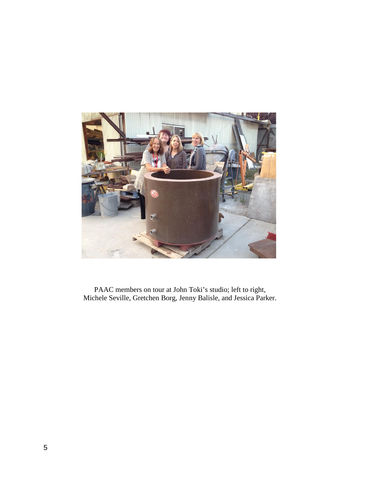

 PAAC members on tour at John Toki's studio; left to right, Michele Seville, Gretchen Borg, Jenny Balisle, and Jessica Parker.